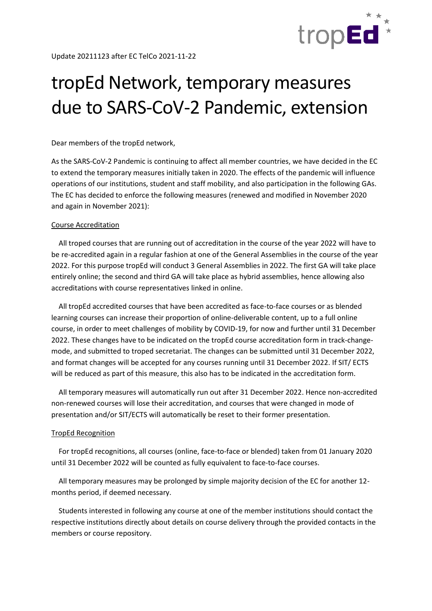

## tropEd Network, temporary measures due to SARS-CoV-2 Pandemic, extension

Dear members of the tropEd network,

As the SARS-CoV-2 Pandemic is continuing to affect all member countries, we have decided in the EC to extend the temporary measures initially taken in 2020. The effects of the pandemic will influence operations of our institutions, student and staff mobility, and also participation in the following GAs. The EC has decided to enforce the following measures (renewed and modified in November 2020 and again in November 2021):

## Course Accreditation

 All troped courses that are running out of accreditation in the course of the year 2022 will have to be re-accredited again in a regular fashion at one of the General Assemblies in the course of the year 2022. For this purpose tropEd will conduct 3 General Assemblies in 2022. The first GA will take place entirely online; the second and third GA will take place as hybrid assemblies, hence allowing also accreditations with course representatives linked in online.

 All tropEd accredited courses that have been accredited as face-to-face courses or as blended learning courses can increase their proportion of online-deliverable content, up to a full online course, in order to meet challenges of mobility by COVID-19, for now and further until 31 December 2022. These changes have to be indicated on the tropEd course accreditation form in track-changemode, and submitted to troped secretariat. The changes can be submitted until 31 December 2022, and format changes will be accepted for any courses running until 31 December 2022. If SIT/ ECTS will be reduced as part of this measure, this also has to be indicated in the accreditation form.

 All temporary measures will automatically run out after 31 December 2022. Hence non-accredited non-renewed courses will lose their accreditation, and courses that were changed in mode of presentation and/or SIT/ECTS will automatically be reset to their former presentation.

## TropEd Recognition

 For tropEd recognitions, all courses (online, face-to-face or blended) taken from 01 January 2020 until 31 December 2022 will be counted as fully equivalent to face-to-face courses.

 All temporary measures may be prolonged by simple majority decision of the EC for another 12 months period, if deemed necessary.

 Students interested in following any course at one of the member institutions should contact the respective institutions directly about details on course delivery through the provided contacts in the members or course repository.